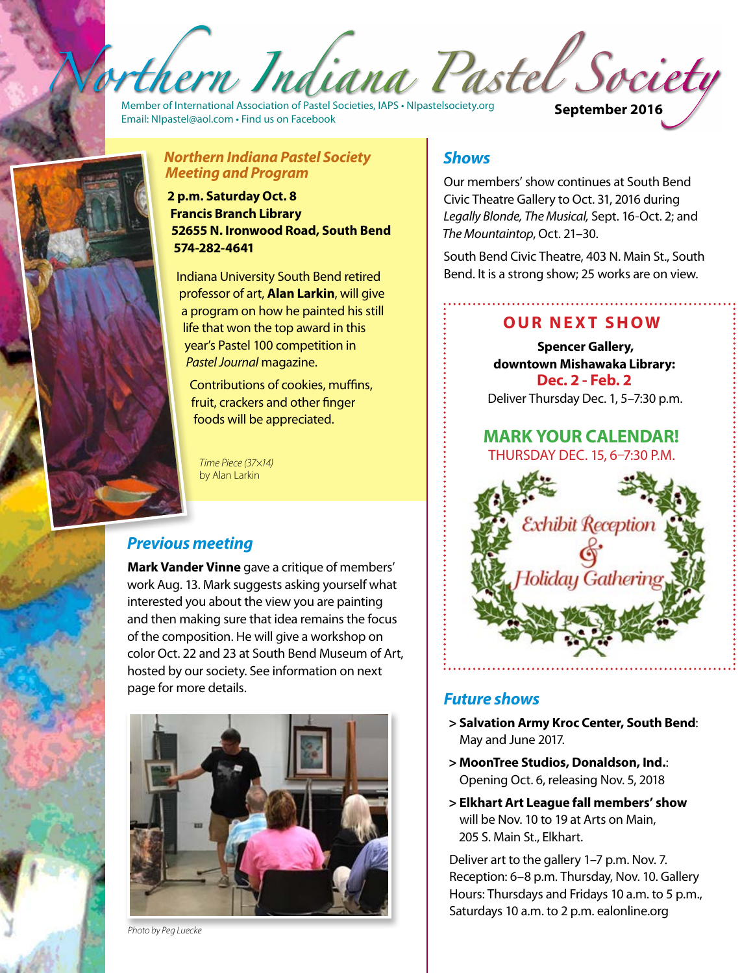thern Indiana Pastel Society

Member of International Association of Pastel Societies, IAPS • NIpastelsociety.org<br>Email: NIpastel@aol.com • Find us on Facebook



*Northern Indiana Pastel Society Meeting and Program*

**2 p.m. Saturday Oct. 8 Francis Branch Library 52655 N. Ironwood Road, South Bend 574-282-4641**

Indiana University South Bend retired professor of art, **Alan Larkin**, will give a program on how he painted his still life that won the top award in this year's Pastel 100 competition in *Pastel Journal* magazine.

Contributions of cookies, muffins, fruit, crackers and other finger foods will be appreciated.

*Time Piece (37×14)*  by Alan Larkin

# *Previous meeting*

**Mark Vander Vinne** gave a critique of members' work Aug. 13. Mark suggests asking yourself what interested you about the view you are painting and then making sure that idea remains the focus of the composition. He will give a workshop on color Oct. 22 and 23 at South Bend Museum of Art, hosted by our society. See information on next page for more details.



*Photo by Peg Luecke* 

## *Shows*

Our members' show continues at South Bend Civic Theatre Gallery to Oct. 31, 2016 during *Legally Blonde, The Musical,* Sept. 16-Oct. 2; and *The Mountaintop*, Oct. 21–30.

South Bend Civic Theatre, 403 N. Main St., South Bend. It is a strong show; 25 works are on view.

## **Our next show**

**Spencer Gallery, downtown Mishawaka Library: Dec. 2 - Feb. 2** Deliver Thursday Dec. 1, 5–7:30 p.m.

#### **MARK YOUR CALENDAR!** Thursday Dec. 15, 6–7:30 p.m.



### *Future shows*

- **> Salvation Army Kroc Center, South Bend**: May and June 2017.
- **> MoonTree Studios, Donaldson, Ind.**: Opening Oct. 6, releasing Nov. 5, 2018
- **> Elkhart Art League fall members' show**  will be Nov. 10 to 19 at Arts on Main, 205 S. Main St., Elkhart.

Deliver art to the gallery 1–7 p.m. Nov. 7. Reception: 6–8 p.m. Thursday, Nov. 10. Gallery Hours: Thursdays and Fridays 10 a.m. to 5 p.m., Saturdays 10 a.m. to 2 p.m. ealonline.org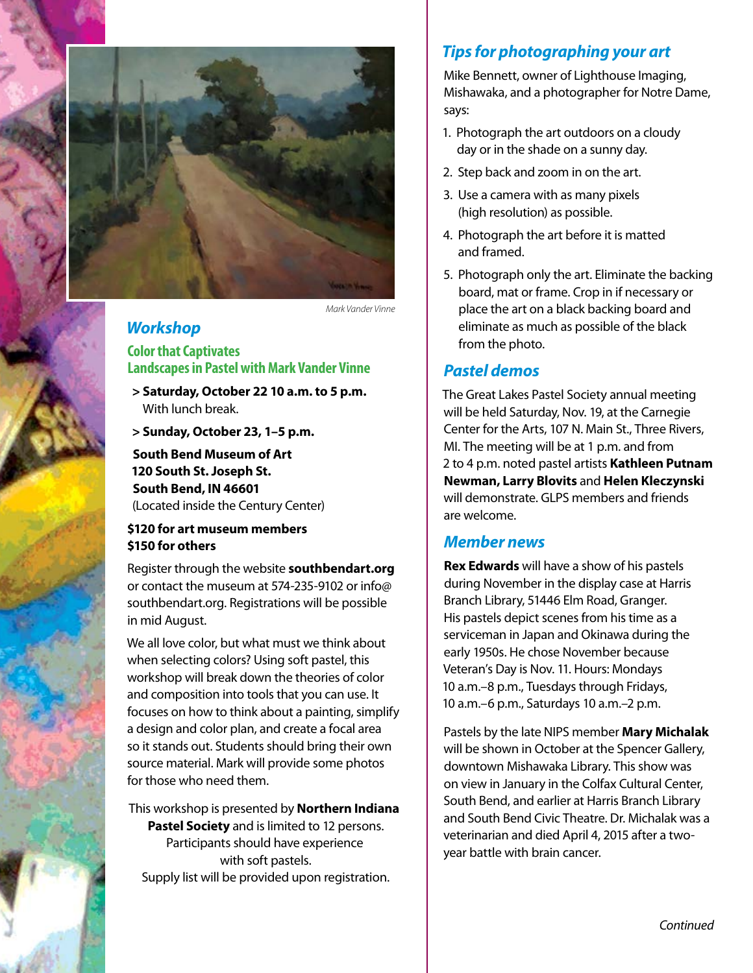

 *Mark Vander Vinne*

### *Workshop*

**Color that Captivates Landscapes in Pastel with Mark Vander Vinne**

**> Saturday, October 22 10 a.m. to 5 p.m.**  With lunch break.

**> Sunday, October 23, 1–5 p.m.** 

**South Bend Museum of Art 120 South St. Joseph St. South Bend, IN 46601** (Located inside the Century Center)

#### **\$120 for art museum members \$150 for others**

Register through the website **southbendart.org** or contact the museum at 574-235-9102 or info@ southbendart.org. Registrations will be possible in mid August.

We all love color, but what must we think about when selecting colors? Using soft pastel, this workshop will break down the theories of color and composition into tools that you can use. It focuses on how to think about a painting, simplify a design and color plan, and create a focal area so it stands out. Students should bring their own source material. Mark will provide some photos for those who need them.

This workshop is presented by **Northern Indiana Pastel Society** and is limited to 12 persons. Participants should have experience with soft pastels. Supply list will be provided upon registration.

### *Tips for photographing your art*

Mike Bennett, owner of Lighthouse Imaging, Mishawaka, and a photographer for Notre Dame, says:

- 1. Photograph the art outdoors on a cloudy day or in the shade on a sunny day.
- 2. Step back and zoom in on the art.
- 3. Use a camera with as many pixels (high resolution) as possible.
- 4. Photograph the art before it is matted and framed.
- 5. Photograph only the art. Eliminate the backing board, mat or frame. Crop in if necessary or place the art on a black backing board and eliminate as much as possible of the black from the photo.

### *Pastel demos*

The Great Lakes Pastel Society annual meeting will be held Saturday, Nov. 19, at the Carnegie Center for the Arts, 107 N. Main St., Three Rivers, MI. The meeting will be at 1 p.m. and from 2 to 4 p.m. noted pastel artists **Kathleen Putnam Newman, Larry Blovits** and **Helen Kleczynski** will demonstrate. GLPS members and friends are welcome.

## *Member news*

**Rex Edwards** will have a show of his pastels during November in the display case at Harris Branch Library, 51446 Elm Road, Granger. His pastels depict scenes from his time as a serviceman in Japan and Okinawa during the early 1950s. He chose November because Veteran's Day is Nov. 11. Hours: Mondays 10 a.m.–8 p.m., Tuesdays through Fridays, 10 a.m.–6 p.m., Saturdays 10 a.m.–2 p.m.

Pastels by the late NIPS member **Mary Michalak**  will be shown in October at the Spencer Gallery, downtown Mishawaka Library. This show was on view in January in the Colfax Cultural Center, South Bend, and earlier at Harris Branch Library and South Bend Civic Theatre. Dr. Michalak was a veterinarian and died April 4, 2015 after a twoyear battle with brain cancer.